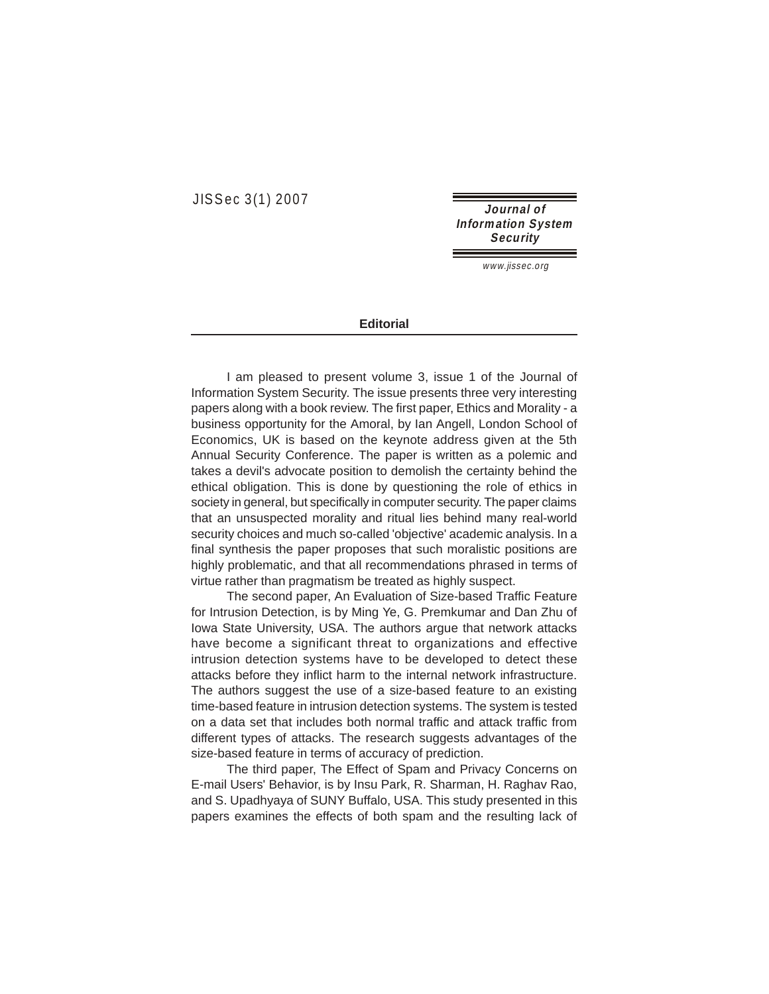JISSec 3(1) 2007

**Journal of Information System Security** 

www.jissec.org

## **Editorial**

I am pleased to present volume 3, issue 1 of the Journal of Information System Security. The issue presents three very interesting papers along with a book review. The first paper, Ethics and Morality - a business opportunity for the Amoral, by Ian Angell, London School of Economics, UK is based on the keynote address given at the 5th Annual Security Conference. The paper is written as a polemic and takes a devil's advocate position to demolish the certainty behind the ethical obligation. This is done by questioning the role of ethics in society in general, but specifically in computer security. The paper claims that an unsuspected morality and ritual lies behind many real-world security choices and much so-called 'objective' academic analysis. In a final synthesis the paper proposes that such moralistic positions are highly problematic, and that all recommendations phrased in terms of virtue rather than pragmatism be treated as highly suspect.

The second paper, An Evaluation of Size-based Traffic Feature for Intrusion Detection, is by Ming Ye, G. Premkumar and Dan Zhu of Iowa State University, USA. The authors argue that network attacks have become a significant threat to organizations and effective intrusion detection systems have to be developed to detect these attacks before they inflict harm to the internal network infrastructure. The authors suggest the use of a size-based feature to an existing time-based feature in intrusion detection systems. The system is tested on a data set that includes both normal traffic and attack traffic from different types of attacks. The research suggests advantages of the size-based feature in terms of accuracy of prediction.

The third paper, The Effect of Spam and Privacy Concerns on E-mail Users' Behavior, is by Insu Park, R. Sharman, H. Raghav Rao, and S. Upadhyaya of SUNY Buffalo, USA. This study presented in this papers examines the effects of both spam and the resulting lack of